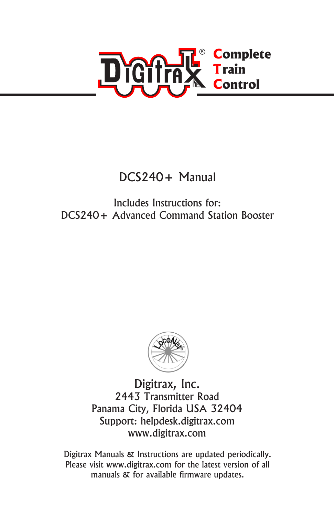

# DCS240+ Manual

# Includes Instructions for: DCS240+ Advanced Command Station Booster



Digitrax, Inc. 2443 Transmitter Road Panama City, Florida USA 32404 Support: helpdesk.digitrax.com www.digitrax.com

Digitrax Manuals & Instructions are updated periodically. Please visit www.digitrax.com for the latest version of all manuals & for available firmware updates.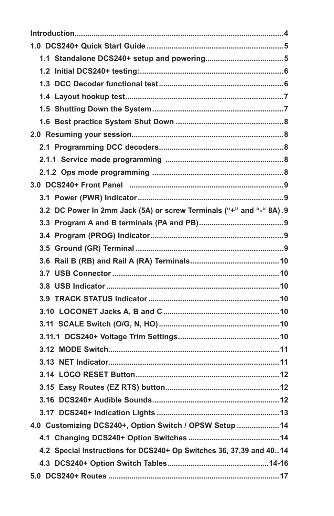| 3.2 DC Power In 2mm Jack (5A) or screw Terminals ("+" and "-" 8A).9 |
|---------------------------------------------------------------------|
|                                                                     |
|                                                                     |
|                                                                     |
|                                                                     |
|                                                                     |
|                                                                     |
|                                                                     |
|                                                                     |
|                                                                     |
|                                                                     |
|                                                                     |
|                                                                     |
|                                                                     |
|                                                                     |
|                                                                     |
|                                                                     |
|                                                                     |
| 4.0 Customizing DCS240+, Option Switch / OPSW Setup  14             |
|                                                                     |
| 4.2 Special Instructions for DCS240+ Op Switches 36, 37,39 and 4014 |
|                                                                     |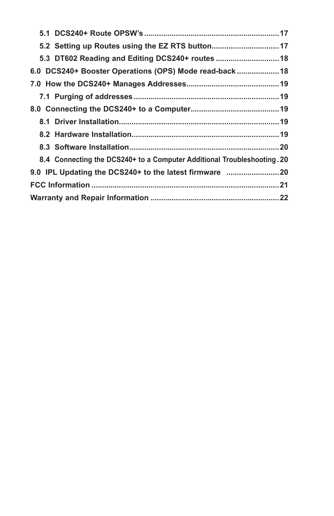| 6.0 DCS240+ Booster Operations (OPS) Mode read-back  18                  |  |
|--------------------------------------------------------------------------|--|
|                                                                          |  |
|                                                                          |  |
|                                                                          |  |
|                                                                          |  |
|                                                                          |  |
|                                                                          |  |
| 8.4 Connecting the DCS240+ to a Computer Additional Troubleshooting . 20 |  |
| 9.0 IPL Updating the DCS240+ to the latest firmware 20                   |  |
|                                                                          |  |
|                                                                          |  |
|                                                                          |  |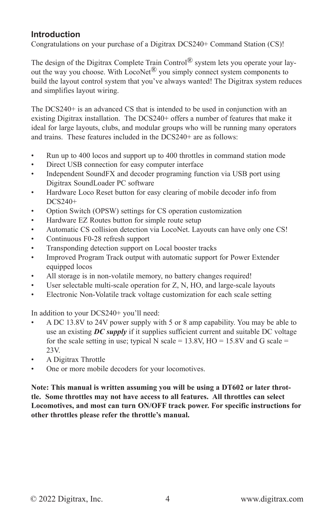#### **Introduction**

Congratulations on your purchase of a Digitrax DCS240+ Command Station (CS)!

The design of the Digitrax Complete Train Control<sup>®</sup> system lets you operate your layout the way you choose. With LocoNet® you simply connect system components to build the layout control system that you've always wanted! The Digitrax system reduces and simplifies layout wiring.

The DCS240+ is an advanced CS that is intended to be used in conjunction with an existing Digitrax installation. The DCS240+ offers a number of features that make it ideal for large layouts, clubs, and modular groups who will be running many operators and trains. These features included in the DCS240+ are as follows:

- Run up to 400 locos and support up to 400 throttles in command station mode
- Direct USB connection for easy computer interface
- Independent SoundFX and decoder programing function via USB port using Digitrax SoundLoader PC software
- Hardware Loco Reset button for easy clearing of mobile decoder info from DCS240+
- Option Switch (OPSW) settings for CS operation customization
- Hardware EZ Routes button for simple route setup
- Automatic CS collision detection via LocoNet. Layouts can have only one CS!
- Continuous F0-28 refresh support
- Transponding detection support on Local booster tracks
- Improved Program Track output with automatic support for Power Extender equipped locos
- All storage is in non-volatile memory, no battery changes required!
- User selectable multi-scale operation for Z, N, HO, and large-scale layouts
- Electronic Non-Volatile track voltage customization for each scale setting

In addition to your DCS240+ you'll need:

- A DC 13.8V to 24V power supply with 5 or 8 amp capability. You may be able to use an existing *DC supply* if it supplies sufficient current and suitable DC voltage for the scale setting in use; typical N scale =  $13.8V$ , HO =  $15.8V$  and G scale = 23V.
- A Digitrax Throttle
- One or more mobile decoders for your locomotives.

**Note: This manual is written assuming you will be using a DT602 or later throttle. Some throttles may not have access to all features. All throttles can select Locomotives, and most can turn ON/OFF track power. For specific instructions for other throttles please refer the throttle's manual.**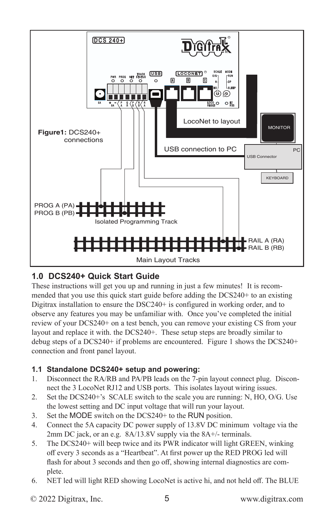

# **1.0 DCS240+ Quick Start Guide**

These instructions will get you up and running in just a few minutes! It is recommended that you use this quick start guide before adding the DCS240+ to an existing Digitrax installation to ensure the DSC240+ is configured in working order, and to observe any features you may be unfamiliar with. Once you've completed the initial review of your DCS240+ on a test bench, you can remove your existing CS from your layout and replace it with. the DCS240+. These setup steps are broadly similar to debug steps of a DCS240+ if problems are encountered. Figure 1 shows the DCS240+ connection and front panel layout.

#### **1.1 Standalone DCS240+ setup and powering:**

- 1. Disconnect the RA/RB and PA/PB leads on the 7-pin layout connect plug. Disconnect the 3 LocoNet RJ12 and USB ports. This isolates layout wiring issues.
- 2. Set the DCS240+'s SCALE switch to the scale you are running: N, HO, O/G. Use the lowest setting and DC input voltage that will run your layout.
- 3. Set the MODE switch on the DCS240+ to the RUN position.
- 4. Connect the 5A capacity DC power supply of 13.8V DC minimum voltage via the 2mm DC jack, or an e.g. 8A/13.8V supply via the 8A+/- terminals.
- 5. The DCS240+ will beep twice and its PWR indicator will light GREEN, winking off every 3 seconds as a "Heartbeat". At first power up the RED PROG led will flash for about 3 seconds and then go off, showing internal diagnostics are complete.
- 6. NET led will light RED showing LocoNet is active hi, and not held off. The BLUE

© 2022 Digitrax, Inc. 55 www.digitrax.com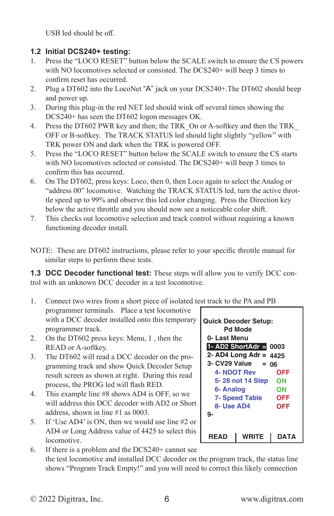USB led should be off.

#### **1.2 Initial DCS240+ testing:**

- 1. Press the "LOCO RESET" button below the SCALE switch to ensure the CS powers with NO locomotives selected or consisted. The DCS240+ will beep 3 times to confirm reset has occurred.
- 2. Plug a DT602 into the LocoNet "A" jack on your DCS240+.The DT602 should beep and power up.
- 3. During this plug-in the red NET led should wink off several times showing the DCS240+ has seen the DT602 logon messages OK.
- 4. Press the DT602 PWR key and then; the TRK\_On or A-softkey and then the TRK\_ OFF or B-softkey. The TRACK STATUS led should light slightly "yellow" with TRK power ON and dark when the TRK is powered OFF.
- 5. Press the "LOCO RESET" button below the SCALE switch to ensure the CS starts with NO locomotives selected or consisted. The DCS240+ will beep 3 times to confirm this has occurred.
- 6. On The DT602, press keys: Loco, then 0, then Loco again to select the Analog or "address 00" locomotive. Watching the TRACK STATUS led, turn the active throttle speed up to 99% and observe this led color changing. Press the Direction key below the active throttle and you should now see a noticeable color shift.
- 7. This checks out locomotive selection and track control without requiring a known functioning decoder install.
- NOTE: These are DT602 instructions, please refer to your specific throttle manual for similar steps to perform these tests.

**1.3 DCC Decoder functional test:** These steps will allow you to verify DCC control with an unknown DCC decoder in a test locomotive.

1. Connect two wires from a short piece of isolated test track to the PA and PB

programmer terminals. Place a test locomotive with a DCC decoder installed onto this temporary programmer track.

- 2. On the DT602 press keys: Menu, 1 , then the READ or A-softkey.
- 3. The DT602 will read a DCC decoder on the programming track and show Quick Decoder Setup result screen as shown at right. During this read process, the PROG led will flash RED.
- 4. This example line #8 shows AD4 is OFF, so we will address this DCC decoder with AD2 or Short address, shown in line #1 as 0003.
- 5. If 'Use AD4' is ON, then we would use line #2 or AD4 or Long Address value of 4425 to select this locomotive.



6. If there is a problem and the DCS240+ cannot see the test locomotive and installed DCC decoder on the program track, the status line shows "Program Track Empty!" and you will need to correct this likely connection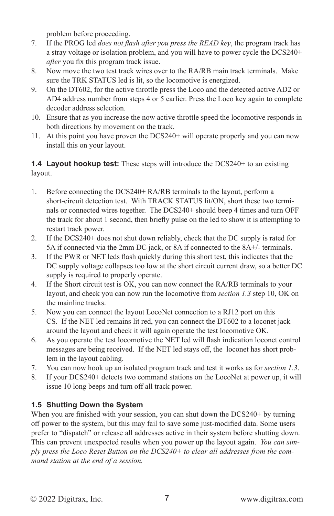problem before proceeding.

- 7. If the PROG led *does not flash after you press the READ key*, the program track has a stray voltage or isolation problem, and you will have to power cycle the DCS240+ *after* you fix this program track issue.
- 8. Now move the two test track wires over to the RA/RB main track terminals. Make sure the TRK STATUS led is lit, so the locomotive is energized.
- 9. On the DT602, for the active throttle press the Loco and the detected active AD2 or AD4 address number from steps 4 or 5 earlier. Press the Loco key again to complete decoder address selection.
- 10. Ensure that as you increase the now active throttle speed the locomotive responds in both directions by movement on the track.
- 11. At this point you have proven the DCS240+ will operate properly and you can now install this on your layout.

**1.4 Layout hookup test:** These steps will introduce the DCS240+ to an existing layout.

- 1. Before connecting the DCS240+ RA/RB terminals to the layout, perform a short-circuit detection test. With TRACK STATUS lit/ON, short these two terminals or connected wires together. The DCS240+ should beep 4 times and turn OFF the track for about 1 second, then briefly pulse on the led to show it is attempting to restart track power.
- 2. If the DCS240+ does not shut down reliably, check that the DC supply is rated for 5A if connected via the 2mm DC jack, or 8A if connected to the 8A+/- terminals.
- 3. If the PWR or NET leds flash quickly during this short test, this indicates that the DC supply voltage collapses too low at the short circuit current draw, so a better DC supply is required to properly operate.
- 4. If the Short circuit test is OK, you can now connect the RA/RB terminals to your layout, and check you can now run the locomotive from *section 1.3* step 10, OK on the mainline tracks.
- 5. Now you can connect the layout LocoNet connection to a RJ12 port on this CS. If the NET led remains lit red, you can connect the DT602 to a loconet jack around the layout and check it will again operate the test locomotive OK.
- 6. As you operate the test locomotive the NET led will flash indication loconet control messages are being received. If the NET led stays off, the loconet has short problem in the layout cabling.
- 7. You can now hook up an isolated program track and test it works as for *section 1.3*.
- 8. If your DCS240+ detects two command stations on the LocoNet at power up, it will issue 10 long beeps and turn off all track power.

#### **1.5 Shutting Down the System**

When you are finished with your session, you can shut down the DCS240+ by turning off power to the system, but this may fail to save some just-modified data. Some users prefer to "dispatch" or release all addresses active in their system before shutting down. This can prevent unexpected results when you power up the layout again. *You can simply press the Loco Reset Button on the DCS240+ to clear all addresses from the command station at the end of a session.*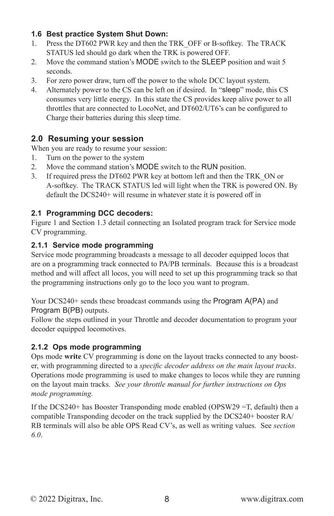#### **1.6 Best practice System Shut Down:**

- 1. Press the DT602 PWR key and then the TRK\_OFF or B-softkey. The TRACK STATUS led should go dark when the TRK is powered OFF.
- 2. Move the command station's MODE switch to the SLEEP position and wait 5 seconds.
- 3. For zero power draw, turn off the power to the whole DCC layout system.
- 4. Alternately power to the CS can be left on if desired. In "sleep" mode, this CS consumes very little energy. In this state the CS provides keep alive power to all throttles that are connected to LocoNet, and DT602/UT6's can be configured to Charge their batteries during this sleep time.

# **2.0 Resuming your session**

When you are ready to resume your session:

- 1. Turn on the power to the system
- 2. Move the command station's MODE switch to the RUN position.
- 3. If required press the DT602 PWR key at bottom left and then the TRK\_ON or A-softkey. The TRACK STATUS led will light when the TRK is powered ON. By default the DCS240+ will resume in whatever state it is powered off in

#### **2.1 Programming DCC decoders:**

Figure 1 and Section 1.3 detail connecting an Isolated program track for Service mode CV programming.

#### **2.1.1 Service mode programming**

Service mode programming broadcasts a message to all decoder equipped locos that are on a programming track connected to PA/PB terminals. Because this is a broadcast method and will affect all locos, you will need to set up this programming track so that the programming instructions only go to the loco you want to program.

Your DCS240+ sends these broadcast commands using the Program A(PA) and Program B(PB) outputs.

Follow the steps outlined in your Throttle and decoder documentation to program your decoder equipped locomotives.

# **2.1.2 Ops mode programming**

Ops mode **write** CV programming is done on the layout tracks connected to any booster, with programming directed to a *specific decoder address on the main layout tracks*. Operations mode programming is used to make changes to locos while they are running on the layout main tracks. *See your throttle manual for further instructions on Ops mode programming.*

If the DCS240+ has Booster Transponding mode enabled (OPSW29  $=T$ , default) then a compatible Transponding decoder on the track supplied by the DCS240+ booster RA/ RB terminals will also be able OPS Read CV's, as well as writing values. See *section 6.0*.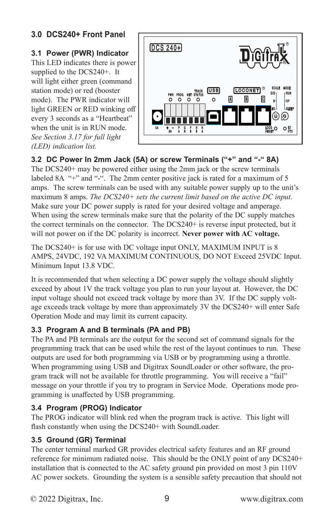# **3.0 DCS240+ Front Panel**

### **3.1 Power (PWR) Indicator**

This LED indicates there is power supplied to the DCS240+. It will light either green (command station mode) or red (booster mode). The PWR indicator will light GREEN or RED winking off every 3 seconds as a "Heartbeat" when the unit is in RUN mode. *See Section 3.17 for full light (LED) indication list.*



**3.2 DC Power In 2mm Jack (5A) or screw Terminals ("+" and "-" 8A)**

The DCS240+ may be powered either using the 2mm jack or the screw terminals labeled 8A "+" and "-". The 2mm center positive jack is rated for a maximum of 5 amps. The screw terminals can be used with any suitable power supply up to the unit's maximum 8 amps. *The DCS240+ sets the current limit based on the active DC input*. Make sure your DC power supply is rated for your desired voltage and amperage. When using the screw terminals make sure that the polarity of the DC supply matches the correct terminals on the connector. The DCS240+ is reverse input protected, but it will not power on if the DC polarity is incorrect. **Never power with AC voltage.**

The DCS240+ is for use with DC voltage input ONLY, MAXIMUM INPUT is 8 AMPS, 24VDC, 192 VA MAXIMUM CONTINUOUS, DO NOT Exceed 25VDC Input. Minimum Input 13.8 VDC.

It is recommended that when selecting a DC power supply the voltage should slightly exceed by about 1V the track voltage you plan to run your layout at. However, the DC input voltage should not exceed track voltage by more than 3V. If the DC supply voltage exceeds track voltage by more than approximately 3V the DCS240+ will enter Safe Operation Mode and may limit its current capacity.

#### **3.3 Program A and B terminals (PA and PB)**

The PA and PB terminals are the output for the second set of command signals for the programming track that can be used while the rest of the layout continues to run. These outputs are used for both programming via USB or by programming using a throttle. When programming using USB and Digitrax SoundLoader or other software, the program track will not be available for throttle programming. You will receive a "fail" message on your throttle if you try to program in Service Mode. Operations mode programming is unaffected by USB programming.

#### **3.4 Program (PROG) Indicator**

The PROG indicator will blink red when the program track is active. This light will flash constantly when using the DCS240+ with SoundLoader.

#### **3.5 Ground (GR) Terminal**

The center terminal marked GR provides electrical safety features and an RF ground reference for minimum radiated noise. This should be the ONLY point of any DCS240+ installation that is connected to the AC safety ground pin provided on most 3 pin 110V AC power sockets. Grounding the system is a sensible safety precaution that should not

© 2022 Digitrax, Inc. 9 www.digitrax.com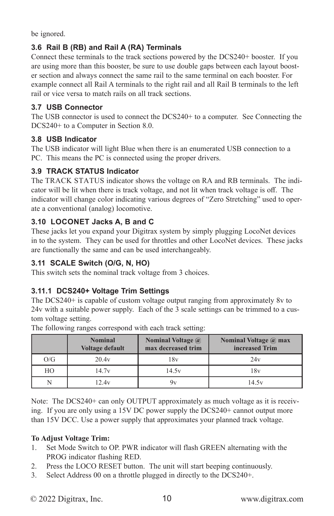be ignored.

# **3.6 Rail B (RB) and Rail A (RA) Terminals**

Connect these terminals to the track sections powered by the DCS240+ booster. If you are using more than this booster, be sure to use double gaps between each layout booster section and always connect the same rail to the same terminal on each booster. For example connect all Rail A terminals to the right rail and all Rail B terminals to the left rail or vice versa to match rails on all track sections.

### **3.7 USB Connector**

The USB connector is used to connect the DCS240+ to a computer. See Connecting the DCS240+ to a Computer in Section 8.0.

# **3.8 USB Indicator**

The USB indicator will light Blue when there is an enumerated USB connection to a PC. This means the PC is connected using the proper drivers.

# **3.9 TRACK STATUS Indicator**

The TRACK STATUS indicator shows the voltage on RA and RB terminals. The indicator will be lit when there is track voltage, and not lit when track voltage is off. The indicator will change color indicating various degrees of "Zero Stretching" used to operate a conventional (analog) locomotive.

# **3.10 LOCONET Jacks A, B and C**

These jacks let you expand your Digitrax system by simply plugging LocoNet devices in to the system. They can be used for throttles and other LocoNet devices. These jacks are functionally the same and can be used interchangeably.

# **3.11 SCALE Switch (O/G, N, HO)**

This switch sets the nominal track voltage from 3 choices.

# **3.11.1 DCS240+ Voltage Trim Settings**

The DCS240+ is capable of custom voltage output ranging from approximately 8v to 24v with a suitable power supply. Each of the 3 scale settings can be trimmed to a custom voltage setting.

|     | <b>Nominal</b><br>Voltage default | <b>Nominal Voltage @</b><br>max decreased trim | Nominal Voltage @ max<br>increased Trim |
|-----|-----------------------------------|------------------------------------------------|-----------------------------------------|
| O/G | 20.4v                             | 18v                                            | 24v                                     |
| HO  | 14.7v                             | 14.5 <sub>v</sub>                              | 18v                                     |
|     | 12.4v                             |                                                | 14.5v                                   |

The following ranges correspond with each track setting:

Note: The DCS240+ can only OUTPUT approximately as much voltage as it is receiving. If you are only using a 15V DC power supply the DCS240+ cannot output more than 15V DCC. Use a power supply that approximates your planned track voltage.

# **To Adjust Voltage Trim:**

- 1. Set Mode Switch to OP. PWR indicator will flash GREEN alternating with the PROG indicator flashing RED.
- 2. Press the LOCO RESET button. The unit will start beeping continuously.
- 3. Select Address 00 on a throttle plugged in directly to the DCS240+.

© 2022 Digitrax, Inc. 10 10 www.digitrax.com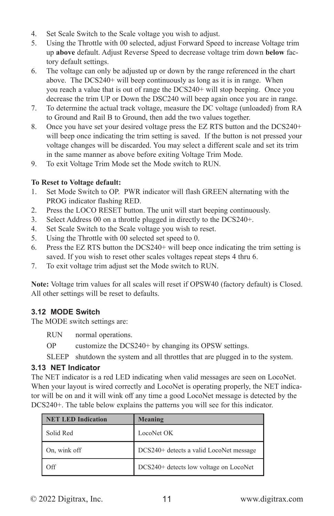- 4. Set Scale Switch to the Scale voltage you wish to adjust.
- 5. Using the Throttle with 00 selected, adjust Forward Speed to increase Voltage trim up **above** default. Adjust Reverse Speed to decrease voltage trim down **below** factory default settings.
- 6. The voltage can only be adjusted up or down by the range referenced in the chart above. The DCS240+ will beep continuously as long as it is in range. When you reach a value that is out of range the DCS240+ will stop beeping. Once you decrease the trim UP or Down the DSC240 will beep again once you are in range.
- 7. To determine the actual track voltage, measure the DC voltage (unloaded) from RA to Ground and Rail B to Ground, then add the two values together.
- 8. Once you have set your desired voltage press the EZ RTS button and the DCS240+ will beep once indicating the trim setting is saved. If the button is not pressed your voltage changes will be discarded. You may select a different scale and set its trim in the same manner as above before exiting Voltage Trim Mode.
- 9. To exit Voltage Trim Mode set the Mode switch to RUN.

#### **To Reset to Voltage default:**

- 1. Set Mode Switch to OP. PWR indicator will flash GREEN alternating with the PROG indicator flashing RED.
- 2. Press the LOCO RESET button. The unit will start beeping continuously.
- 3. Select Address 00 on a throttle plugged in directly to the DCS240+.
- 4. Set Scale Switch to the Scale voltage you wish to reset.
- 5. Using the Throttle with 00 selected set speed to 0.
- 6. Press the EZ RTS button the DCS240+ will beep once indicating the trim setting is saved. If you wish to reset other scales voltages repeat steps 4 thru 6.
- 7. To exit voltage trim adjust set the Mode switch to RUN.

**Note:** Voltage trim values for all scales will reset if OPSW40 (factory default) is Closed. All other settings will be reset to defaults.

#### **3.12 MODE Switch**

The MODE switch settings are:

- RUN normal operations.
- OP customize the DCS240+ by changing its OPSW settings.
- SLEEP shutdown the system and all throttles that are plugged in to the system.

#### **3.13 NET Indicator**

The NET indicator is a red LED indicating when valid messages are seen on LocoNet. When your layout is wired correctly and LocoNet is operating properly, the NET indicator will be on and it will wink off any time a good LocoNet message is detected by the DCS240+. The table below explains the patterns you will see for this indicator.

| <b>NET LED Indication</b> | Meaning                                 |
|---------------------------|-----------------------------------------|
| Solid Red                 | LocoNet OK                              |
| On, wink off              | DCS240+ detects a valid LocoNet message |
| Off                       | DCS240+ detects low voltage on LocoNet  |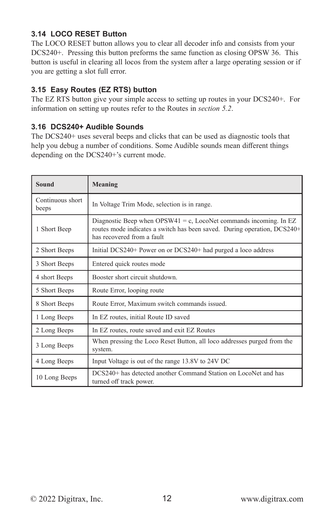#### **3.14 LOCO RESET Button**

The LOCO RESET button allows you to clear all decoder info and consists from your DCS240+. Pressing this button preforms the same function as closing OPSW 36. This button is useful in clearing all locos from the system after a large operating session or if you are getting a slot full error.

#### **3.15 Easy Routes (EZ RTS) button**

The EZ RTS button give your simple access to setting up routes in your DCS240+. For information on setting up routes refer to the Routes in *section 5.2*.

#### **3.16 DCS240+ Audible Sounds**

The DCS240+ uses several beeps and clicks that can be used as diagnostic tools that help you debug a number of conditions. Some Audible sounds mean different things depending on the DCS240+'s current mode.

| <b>Sound</b>              | Meaning                                                                                                                                                                        |
|---------------------------|--------------------------------------------------------------------------------------------------------------------------------------------------------------------------------|
| Continuous short<br>beeps | In Voltage Trim Mode, selection is in range.                                                                                                                                   |
| 1 Short Beep              | Diagnostic Beep when $OPSW41 = c$ , LocoNet commands incoming. In EZ<br>routes mode indicates a switch has been saved. During operation, DCS240+<br>has recovered from a fault |
| 2 Short Beeps             | Initial DCS240+ Power on or DCS240+ had purged a loco address                                                                                                                  |
| 3 Short Beeps             | Entered quick routes mode                                                                                                                                                      |
| 4 short Beeps             | Booster short circuit shutdown.                                                                                                                                                |
| 5 Short Beeps             | Route Error, looping route                                                                                                                                                     |
| 8 Short Beeps             | Route Error, Maximum switch commands issued.                                                                                                                                   |
| 1 Long Beeps              | In EZ routes, initial Route ID saved                                                                                                                                           |
| 2 Long Beeps              | In EZ routes, route saved and exit EZ Routes                                                                                                                                   |
| 3 Long Beeps              | When pressing the Loco Reset Button, all loco addresses purged from the<br>system.                                                                                             |
| 4 Long Beeps              | Input Voltage is out of the range 13.8V to 24V DC                                                                                                                              |
| 10 Long Beeps             | DCS240+ has detected another Command Station on LocoNet and has<br>turned off track power.                                                                                     |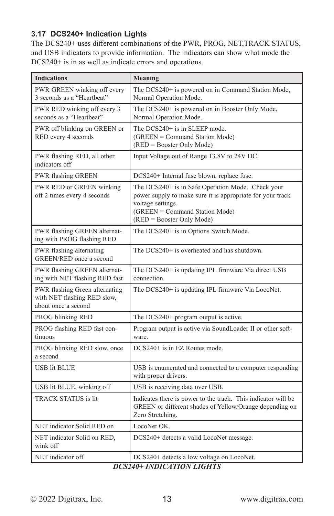#### **3.17 DCS240+ Indication Lights**

The DCS240+ uses different combinations of the PWR, PROG, NET,TRACK STATUS, and USB indicators to provide information. The indicators can show what mode the DCS240+ is in as well as indicate errors and operations.

| <b>Indications</b>                                                                   | Meaning                                                                                                                                                                                             |
|--------------------------------------------------------------------------------------|-----------------------------------------------------------------------------------------------------------------------------------------------------------------------------------------------------|
| PWR GREEN winking off every<br>3 seconds as a "Heartbeat"                            | The DCS240+ is powered on in Command Station Mode,<br>Normal Operation Mode.                                                                                                                        |
| PWR RED winking off every 3<br>seconds as a "Heartbeat"                              | The DCS240+ is powered on in Booster Only Mode,<br>Normal Operation Mode.                                                                                                                           |
| PWR off blinking on GREEN or<br>RED every 4 seconds                                  | The DCS240+ is in SLEEP mode.<br>(GREEN = Command Station Mode)<br>(RED = Booster Only Mode)                                                                                                        |
| PWR flashing RED, all other<br>indicators off                                        | Input Voltage out of Range 13.8V to 24V DC.                                                                                                                                                         |
| PWR flashing GREEN                                                                   | DCS240+ Internal fuse blown, replace fuse.                                                                                                                                                          |
| PWR RED or GREEN winking<br>off 2 times every 4 seconds                              | The DCS240+ is in Safe Operation Mode. Check your<br>power supply to make sure it is appropriate for your track<br>voltage settings.<br>(GREEN = Command Station Mode)<br>(RED = Booster Only Mode) |
| PWR flashing GREEN alternat-<br>ing with PROG flashing RED                           | The DCS240+ is in Options Switch Mode.                                                                                                                                                              |
| PWR flashing alternating<br>GREEN/RED once a second                                  | The DCS240+ is overheated and has shutdown.                                                                                                                                                         |
| PWR flashing GREEN alternat-<br>ing with NET flashing RED fast                       | The DCS240+ is updating IPL firmware Via direct USB<br>connection.                                                                                                                                  |
| PWR flashing Green alternating<br>with NET flashing RED slow,<br>about once a second | The DCS240+ is updating IPL firmware Via LocoNet.                                                                                                                                                   |
| PROG blinking RED                                                                    | The DCS240+ program output is active.                                                                                                                                                               |
| PROG flashing RED fast con-<br>tinuous                                               | Program output is active via SoundLoader II or other soft-<br>ware.                                                                                                                                 |
| PROG blinking RED slow, once<br>a second                                             | DCS240+ is in EZ Routes mode.                                                                                                                                                                       |
| <b>USB lit BLUE</b>                                                                  | USB is enumerated and connected to a computer responding<br>with proper drivers.                                                                                                                    |
| USB lit BLUE, winking off                                                            | USB is receiving data over USB.                                                                                                                                                                     |
| <b>TRACK STATUS is lit</b>                                                           | Indicates there is power to the track. This indicator will be<br>GREEN or different shades of Yellow/Orange depending on<br>Zero Stretching.                                                        |
| NET indicator Solid RED on                                                           | LocoNet OK.                                                                                                                                                                                         |
| NET indicator Solid on RED,<br>wink off                                              | DCS240+ detects a valid LocoNet message.                                                                                                                                                            |
| NET indicator off                                                                    | DCS240+ detects a low voltage on LocoNet.                                                                                                                                                           |

*DCS240+ INDICATION LIGHTS*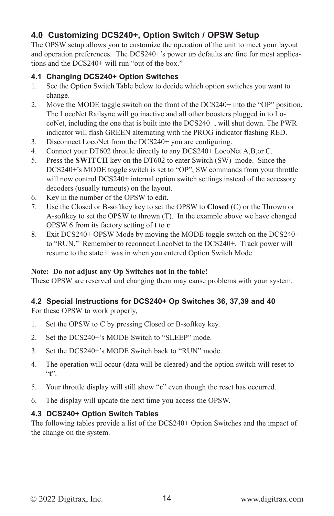# **4.0 Customizing DCS240+, Option Switch / OPSW Setup**

The OPSW setup allows you to customize the operation of the unit to meet your layout and operation preferences. The DCS240+'s power up defaults are fine for most applications and the DCS240+ will run "out of the box."

#### **4.1 Changing DCS240+ Option Switches**

- 1. See the Option Switch Table below to decide which option switches you want to change.
- 2. Move the MODE toggle switch on the front of the DCS240+ into the "OP" position. The LocoNet Railsync will go inactive and all other boosters plugged in to LocoNet, including the one that is built into the DCS240+, will shut down. The PWR indicator will flash GREEN alternating with the PROG indicator flashing RED.
- 3. Disconnect LocoNet from the DCS240+ you are configuring.
- 4. Connect your DT602 throttle directly to any DCS240+ LocoNet A,B,or C.
- 5. Press the **SWITCH** key on the DT602 to enter Switch (SW) mode. Since the DCS240+'s MODE toggle switch is set to "OP", SW commands from your throttle will now control DCS240+ internal option switch settings instead of the accessory decoders (usually turnouts) on the layout.
- 6. Key in the number of the OPSW to edit.
- 7. Use the Closed or B-softkey key to set the OPSW to **Closed** (C) or the Thrown or A-softkey to set the OPSW to thrown (T). In the example above we have changed OPSW 6 from its factory setting of **t** to **c**
- 8. Exit DCS240+ OPSW Mode by moving the MODE toggle switch on the DCS240+ to "RUN." Remember to reconnect LocoNet to the DCS240+. Track power will resume to the state it was in when you entered Option Switch Mode

#### **Note: Do not adjust any Op Switches not in the table!**

These OPSW are reserved and changing them may cause problems with your system.

#### **4.2 Special Instructions for DCS240+ Op Switches 36, 37,39 and 40**

For these OPSW to work properly,

- 1. Set the OPSW to C by pressing Closed or B-softkey key.
- 2. Set the DCS240+'s MODE Switch to "SLEEP" mode.
- 3. Set the DCS240+'s MODE Switch back to "RUN" mode.
- 4. The operation will occur (data will be cleared) and the option switch will reset to "**t**".
- 5. Your throttle display will still show "**c**" even though the reset has occurred.
- 6. The display will update the next time you access the OPSW.

#### **4.3 DCS240+ Option Switch Tables**

The following tables provide a list of the DCS240+ Option Switches and the impact of the change on the system.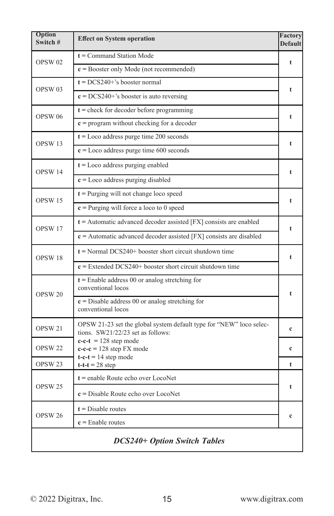| Option<br>Switch#  | <b>Effect on System operation</b>                                                                          | Factory<br><b>Default</b> |
|--------------------|------------------------------------------------------------------------------------------------------------|---------------------------|
| OPSW <sub>02</sub> | $t =$ Command Station Mode                                                                                 | t                         |
|                    | $c =$ Booster only Mode (not recommended)                                                                  |                           |
| OPSW <sub>03</sub> | $t = DCS240+$ 's booster normal                                                                            | t                         |
|                    | $c = DCS240+$ 's booster is auto reversing                                                                 |                           |
| OPSW <sub>06</sub> | $t =$ check for decoder before programming                                                                 | t                         |
|                    | $c$ = program without checking for a decoder                                                               |                           |
| OPSW <sub>13</sub> | $t =$ Loco address purge time 200 seconds                                                                  | t                         |
|                    | $c =$ Loco address purge time 600 seconds                                                                  |                           |
| OPSW <sub>14</sub> | $t =$ Loco address purging enabled                                                                         | t                         |
|                    | $c =$ Loco address purging disabled                                                                        |                           |
| OPSW <sub>15</sub> | $t$ = Purging will not change loco speed                                                                   |                           |
|                    | $c$ = Purging will force a loco to 0 speed                                                                 | t                         |
| OPSW <sub>17</sub> | $t =$ Automatic advanced decoder assisted [FX] consists are enabled                                        | t                         |
|                    | $c$ = Automatic advanced decoder assisted [FX] consists are disabled                                       |                           |
| OPSW <sub>18</sub> | $t$ = Normal DCS240+ booster short circuit shutdown time                                                   | t                         |
|                    | $\mathbf{c}$ = Extended DCS240+ booster short circuit shutdown time                                        |                           |
| OPSW <sub>20</sub> | $t =$ Enable address 00 or analog stretching for<br>conventional locos                                     | t                         |
|                    | $\mathbf{c}$ = Disable address 00 or analog stretching for<br>conventional locos                           |                           |
| OPSW <sub>21</sub> | OPSW 21-23 set the global system default type for "NEW" loco selec-<br>tions. $SW21/22/23$ set as follows: | $\mathbf c$               |
| OPSW <sub>22</sub> | $c-c-t = 128$ step mode<br>$c-c-c = 128$ step FX mode<br>$t-c-t = 14$ step mode                            | c                         |
| OPSW <sub>23</sub> | $t-t-t = 28$ step                                                                                          | t                         |
|                    | $t$ = enable Route echo over LocoNet                                                                       |                           |
| OPSW <sub>25</sub> | $c =$ Disable Route echo over LocoNet                                                                      | t                         |
| OPSW <sub>26</sub> | $t = Disable routes$                                                                                       |                           |
|                    | $c =$ Enable routes                                                                                        | $\mathbf c$               |
|                    | <b>DCS240+ Option Switch Tables</b>                                                                        |                           |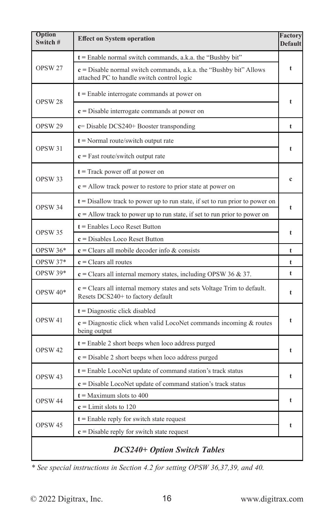| Option<br>Switch # | <b>Effect on System operation</b>                                                                                  | Factory<br><b>Default</b> |  |
|--------------------|--------------------------------------------------------------------------------------------------------------------|---------------------------|--|
|                    | $t$ = Enable normal switch commands, a.k.a. the "Bushby bit"                                                       |                           |  |
| OPSW <sub>27</sub> | $c =$ Disable normal switch commands, a.k.a. the "Bushby bit" Allows<br>attached PC to handle switch control logic | t                         |  |
| OPSW <sub>28</sub> | $t =$ Enable interrogate commands at power on                                                                      |                           |  |
|                    | $c =$ Disable interrogate commands at power on                                                                     | t                         |  |
| OPSW <sub>29</sub> | $\mathbf{c}$ Disable DCS240+ Booster transponding                                                                  | t                         |  |
|                    | $t$ = Normal route/switch output rate                                                                              |                           |  |
| OPSW <sub>31</sub> | $c =$ Fast route/switch output rate                                                                                | t                         |  |
|                    | $t =$ Track power off at power on                                                                                  |                           |  |
| OPSW <sub>33</sub> | $c =$ Allow track power to restore to prior state at power on                                                      | $\mathbf c$               |  |
| OPSW 34            | $t =$ Disallow track to power up to run state, if set to run prior to power on                                     |                           |  |
|                    | $c =$ Allow track to power up to run state, if set to run prior to power on                                        | t                         |  |
|                    | $t =$ Enables Loco Reset Button                                                                                    |                           |  |
| OPSW 35            | $c =$ Disables Loco Reset Button                                                                                   | t                         |  |
| OPSW 36*           | $c$ = Clears all mobile decoder info & consists                                                                    | t                         |  |
| OPSW 37*           | $c =$ Clears all routes                                                                                            |                           |  |
| OPSW 39*           | $c$ = Clears all internal memory states, including OPSW 36 & 37.                                                   |                           |  |
| OPSW 40*           | $c$ = Clears all internal memory states and sets Voltage Trim to default.<br>Resets DCS240+ to factory default     | t                         |  |
|                    | $t =$ Diagnostic click disabled                                                                                    |                           |  |
| OPSW <sub>41</sub> | $c =$ Diagnostic click when valid LocoNet commands incoming & routes<br>being output                               | t                         |  |
|                    | $t =$ Enable 2 short beeps when loco address purged                                                                |                           |  |
| OPSW <sub>42</sub> | $c =$ Disable 2 short beeps when loco address purged                                                               | t                         |  |
|                    | $t =$ Enable LocoNet update of command station's track status                                                      | t                         |  |
| OPSW <sub>43</sub> | $c =$ Disable LocoNet update of command station's track status                                                     |                           |  |
|                    | $t =$ Maximum slots to 400                                                                                         |                           |  |
| OPSW <sub>44</sub> | $c =$ Limit slots to 120                                                                                           | t                         |  |
|                    | $t =$ Enable reply for switch state request                                                                        |                           |  |
| OPSW <sub>45</sub> | $c =$ Disable reply for switch state request                                                                       | t                         |  |
|                    | <b>DCS240+ Option Switch Tables</b>                                                                                |                           |  |

*\* See special instructions in Section 4.2 for setting OPSW 36,37,39, and 40.*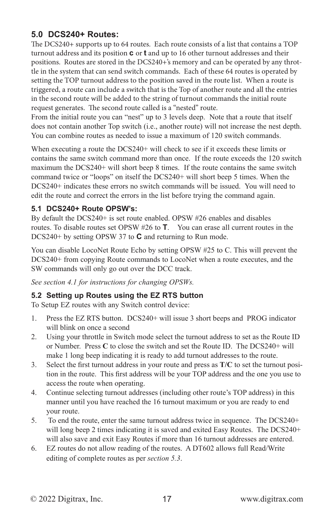### **5.0 DCS240+ Routes:**

The DCS240+ supports up to 64 routes. Each route consists of a list that contains a TOP turnout address and its position **c** or **t** and up to 16 other turnout addresses and their positions. Routes are stored in the DCS240+'s memory and can be operated by any throttle in the system that can send switch commands. Each of these 64 routes is operated by setting the TOP turnout address to the position saved in the route list. When a route is triggered, a route can include a switch that is the Top of another route and all the entries in the second route will be added to the string of turnout commands the initial route request generates. The second route called is a "nested" route.

From the initial route you can "nest" up to 3 levels deep. Note that a route that itself does not contain another Top switch (i.e., another route) will not increase the nest depth. You can combine routes as needed to issue a maximum of 120 switch commands.

When executing a route the DCS240+ will check to see if it exceeds these limits or contains the same switch command more than once. If the route exceeds the 120 switch maximum the DCS240+ will short beep 8 times. If the route contains the same switch command twice or "loops" on itself the DCS240+ will short beep 5 times. When the DCS240+ indicates these errors no switch commands will be issued. You will need to edit the route and correct the errors in the list before trying the command again.

#### **5.1 DCS240+ Route OPSW's:**

By default the DCS240+ is set route enabled. OPSW #26 enables and disables routes. To disable routes set OPSW #26 to **T**. You can erase all current routes in the DCS240+ by setting OPSW 37 to **C** and returning to Run mode.

You can disable LocoNet Route Echo by setting OPSW #25 to C. This will prevent the DCS240+ from copying Route commands to LocoNet when a route executes, and the SW commands will only go out over the DCC track.

*See section 4.1 for instructions for changing OPSWs.*

#### **5.2 Setting up Routes using the EZ RTS button**

To Setup EZ routes with any Switch control device:

- 1. Press the EZ RTS button. DCS240+ will issue 3 short beeps and PROG indicator will blink on once a second
- 2. Using your throttle in Switch mode select the turnout address to set as the Route ID or Number. Press **C** to close the switch and set the Route ID. The DCS240+ will make 1 long beep indicating it is ready to add turnout addresses to the route.
- 3. Select the first turnout address in your route and press as **T/C** to set the turnout position in the route. This first address will be your TOP address and the one you use to access the route when operating.
- 4. Continue selecting turnout addresses (including other route's TOP address) in this manner until you have reached the 16 turnout maximum or you are ready to end your route.
- 5. To end the route, enter the same turnout address twice in sequence. The DCS240+ will long beep 2 times indicating it is saved and exited Easy Routes. The DCS240+ will also save and exit Easy Routes if more than 16 turnout addresses are entered.
- 6. EZ routes do not allow reading of the routes. A DT602 allows full Read/Write editing of complete routes as per *section 5.3*.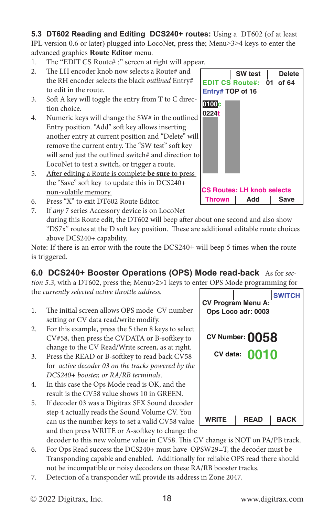**5.3 DT602 Reading and Editing DCS240+ routes:** Using a DT602 (of at least IPL version 0.6 or later) plugged into LocoNet, press the; Menu>3>4 keys to enter the advanced graphics **Route Editor** menu.

- 1. The "EDIT CS Route# :" screen at right will appear.
- 2. The LH encoder knob now selects a Route# and the RH encoder selects the black *outlined* Entry# to edit in the route.
- 3. Soft A key will toggle the entry from T to C direction choice.
- 4. Numeric keys will change the SW# in the outlined Entry position. "Add" soft key allows inserting another entry at current position and "Delete" will remove the current entry. The "SW test" soft key will send just the outlined switch# and direction to LocoNet to test a switch, or trigger a route.
- 5. After editing a Route is complete **be sure** to press the "Save" soft key to update this in DCS240+ non-volatile memory.
- **EDIT CS Route#: 01 of 64 Entry# TOP of 16 0100c 0224t Thrown Add Save Delete CS Routes: LH knob selects SW test**
- 6. Press "X" to exit DT602 Route Editor.

7. If *any* 7 series Accessory device is on LocoNet during this Route edit, the DT602 will beep after about one second and also show "DS7x" routes at the D soft key position. These are additional editable route choices above DCS240+ capability.

Note: If there is an error with the route the DCS240+ will beep 5 times when the route is triggered.

**6.0 DCS240+ Booster Operations (OPS) Mode read-back** As for *sec-*

*tion 5.3*, with a DT602, press the; Menu>2>1 keys to enter OPS Mode programming for the *currently selected active throttle address.*

- 1. The initial screen allows OPS mode CV number setting or CV data read/write modify.
- 2. For this example, press the 5 then 8 keys to select CV#58, then press the CVDATA or B-softkey to change to the CV Read/Write screen, as at right.
- 3. Press the READ or B-softkey to read back CV58 for *active decoder 03 on the tracks powered by the DCS240+ booster, or RA/RB terminals*.
- 4. In this case the Ops Mode read is OK, and the result is the CV58 value shows 10 in GREEN.
- 5. If decoder 03 was a Digitrax SFX Sound decoder step 4 actually reads the Sound Volume CV. You can us the number keys to set a valid CV58 value and then press WRITE or A-softkey to change the



decoder to this new volume value in CV58. This CV change is NOT on PA/PB track. 6. For Ops Read success the DCS240+ must have OPSW29=T, the decoder must be

- Transponding capable and enabled. Additionally for reliable OPS read there should not be incompatible or noisy decoders on these RA/RB booster tracks.
- 7. Detection of a transponder will provide its address in Zone 2047.

© 2022 Digitrax, Inc. 18 18 www.digitrax.com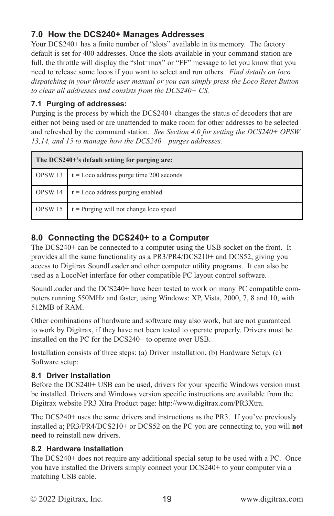# **7.0 How the DCS240+ Manages Addresses**

Your DCS240+ has a finite number of "slots" available in its memory. The factory default is set for 400 addresses. Once the slots available in your command station are full, the throttle will display the "slot=max" or "FF" message to let you know that you need to release some locos if you want to select and run others. *Find details on loco dispatching in your throttle user manual or you can simply press the Loco Reset Button to clear all addresses and consists from the DCS240+ CS.*

#### **7.1 Purging of addresses:**

Purging is the process by which the DCS240+ changes the status of decoders that are either not being used or are unattended to make room for other addresses to be selected and refreshed by the command station. *See Section 4.0 for setting the DCS240+ OPSW 13,14, and 15 to manage how the DCS240+ purges addresses.*

| The DCS240+'s default setting for purging are: |                                                               |
|------------------------------------------------|---------------------------------------------------------------|
|                                                | $\log$ OPSW 13 $\mid$ t = Loco address purge time 200 seconds |
|                                                | $\log$ OPSW 14 $\mid$ t = Loco address purging enabled        |
|                                                | $\log$ OPSW 15 $\ $ t = Purging will not change loco speed    |

# **8.0 Connecting the DCS240+ to a Computer**

The DCS240+ can be connected to a computer using the USB socket on the front. It provides all the same functionality as a PR3/PR4/DCS210+ and DCS52, giving you access to Digitrax SoundLoader and other computer utility programs. It can also be used as a LocoNet interface for other compatible PC layout control software.

SoundLoader and the DCS240+ have been tested to work on many PC compatible computers running 550MHz and faster, using Windows: XP, Vista, 2000, 7, 8 and 10, with 512MB of RAM.

Other combinations of hardware and software may also work, but are not guaranteed to work by Digitrax, if they have not been tested to operate properly. Drivers must be installed on the PC for the DCS240+ to operate over USB.

Installation consists of three steps: (a) Driver installation, (b) Hardware Setup, (c) Software setup:

#### **8.1 Driver Installation**

Before the DCS240+ USB can be used, drivers for your specific Windows version must be installed. Drivers and Windows version specific instructions are available from the Digitrax website PR3 Xtra Product page: http://www.digitrax.com/PR3Xtra.

The DCS240+ uses the same drivers and instructions as the PR3. If you've previously installed a; PR3/PR4/DCS210+ or DCS52 on the PC you are connecting to, you will **not need** to reinstall new drivers.

#### **8.2 Hardware Installation**

The DCS240+ does not require any additional special setup to be used with a PC. Once you have installed the Drivers simply connect your DCS240+ to your computer via a matching USB cable.

© 2022 Digitrax, Inc. 1919 www.digitrax.com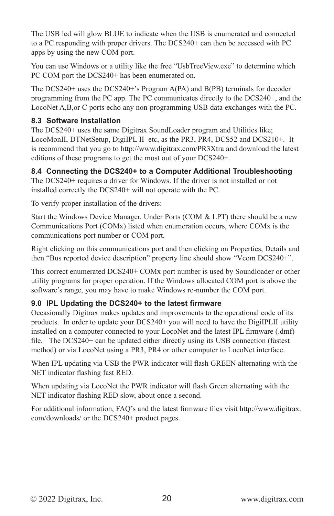The USB led will glow BLUE to indicate when the USB is enumerated and connected to a PC responding with proper drivers. The DCS240+ can then be accessed with PC apps by using the new COM port.

You can use Windows or a utility like the free "UsbTreeView.exe" to determine which PC COM port the DCS240+ has been enumerated on.

The DCS240+ uses the DCS240+'s Program A(PA) and B(PB) terminals for decoder programming from the PC app. The PC communicates directly to the DCS240+, and the LocoNet A,B,or C ports echo any non-programming USB data exchanges with the PC.

#### **8.3 Software Installation**

The DCS240+ uses the same Digitrax SoundLoader program and Utilities like; LocoMonII, DTNetSetup, DigiIPL II etc, as the PR3, PR4, DCS52 and DCS210+. It is recommend that you go to http://www.digitrax.com/PR3Xtra and download the latest editions of these programs to get the most out of your DCS240+.

**8.4 Connecting the DCS240+ to a Computer Additional Troubleshooting** The DCS240+ requires a driver for Windows. If the driver is not installed or not installed correctly the DCS240+ will not operate with the PC.

To verify proper installation of the drivers:

Start the Windows Device Manager. Under Ports (COM & LPT) there should be a new Communications Port (COMx) listed when enumeration occurs, where COMx is the communications port number or COM port.

Right clicking on this communications port and then clicking on Properties, Details and then "Bus reported device description" property line should show "Vcom DCS240+".

This correct enumerated DCS240+ COMx port number is used by Soundloader or other utility programs for proper operation. If the Windows allocated COM port is above the software's range, you may have to make Windows re-number the COM port.

#### **9.0 IPL Updating the DCS240+ to the latest firmware**

Occasionally Digitrax makes updates and improvements to the operational code of its products. In order to update your DCS240+ you will need to have the DigiIPLII utility installed on a computer connected to your LocoNet and the latest IPL firmware (.dmf) file. The DCS240+ can be updated either directly using its USB connection (fastest method) or via LocoNet using a PR3, PR4 or other computer to LocoNet interface.

When IPL updating via USB the PWR indicator will flash GREEN alternating with the NET indicator flashing fast RED.

When updating via LocoNet the PWR indicator will flash Green alternating with the NET indicator flashing RED slow, about once a second.

For additional information, FAQ's and the latest firmware files visit http://www.digitrax. com/downloads/ or the DCS240+ product pages.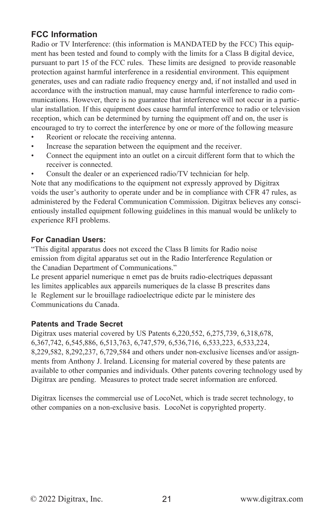# **FCC Information**

Radio or TV Interference: (this information is MANDATED by the FCC) This equipment has been tested and found to comply with the limits for a Class B digital device, pursuant to part 15 of the FCC rules. These limits are designed to provide reasonable protection against harmful interference in a residential environment. This equipment generates, uses and can radiate radio frequency energy and, if not installed and used in accordance with the instruction manual, may cause harmful interference to radio communications. However, there is no guarantee that interference will not occur in a particular installation. If this equipment does cause harmful interference to radio or television reception, which can be determined by turning the equipment off and on, the user is encouraged to try to correct the interference by one or more of the following measure

- Reorient or relocate the receiving antenna.
- Increase the separation between the equipment and the receiver.
- Connect the equipment into an outlet on a circuit different form that to which the receiver is connected.
- Consult the dealer or an experienced radio/TV technician for help.

Note that any modifications to the equipment not expressly approved by Digitrax voids the user's authority to operate under and be in compliance with CFR 47 rules, as administered by the Federal Communication Commission. Digitrax believes any conscientiously installed equipment following guidelines in this manual would be unlikely to experience RFI problems.

#### **For Canadian Users:**

"This digital apparatus does not exceed the Class B limits for Radio noise emission from digital apparatus set out in the Radio Interference Regulation or the Canadian Department of Communications."

Le present appariel numerique n emet pas de bruits radio-electriques depassant les limites applicables aux appareils numeriques de la classe B prescrites dans le Reglement sur le brouillage radioelectrique edicte par le ministere des Communications du Canada.

#### **Patents and Trade Secret**

Digitrax uses material covered by US Patents 6,220,552, 6,275,739, 6,318,678, 6,367,742, 6,545,886, 6,513,763, 6,747,579, 6,536,716, 6,533,223, 6,533,224, 8,229,582, 8,292,237, 6,729,584 and others under non-exclusive licenses and/or assignments from Anthony J. Ireland. Licensing for material covered by these patents are available to other companies and individuals. Other patents covering technology used by Digitrax are pending. Measures to protect trade secret information are enforced.

Digitrax licenses the commercial use of LocoNet, which is trade secret technology, to other companies on a non-exclusive basis. LocoNet is copyrighted property.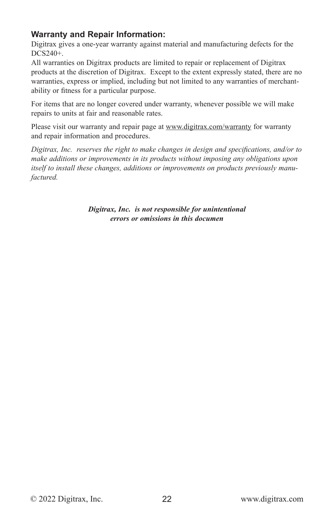### **Warranty and Repair Information:**

Digitrax gives a one-year warranty against material and manufacturing defects for the  $DCS240+$ 

All warranties on Digitrax products are limited to repair or replacement of Digitrax products at the discretion of Digitrax. Except to the extent expressly stated, there are no warranties, express or implied, including but not limited to any warranties of merchantability or fitness for a particular purpose.

For items that are no longer covered under warranty, whenever possible we will make repairs to units at fair and reasonable rates.

Please visit our warranty and repair page at www.digitrax.com/warranty for warranty and repair information and procedures.

*Digitrax, Inc. reserves the right to make changes in design and specifications, and/or to make additions or improvements in its products without imposing any obligations upon itself to install these changes, additions or improvements on products previously manufactured.*

> *Digitrax, Inc. is not responsible for unintentional errors or omissions in this documen*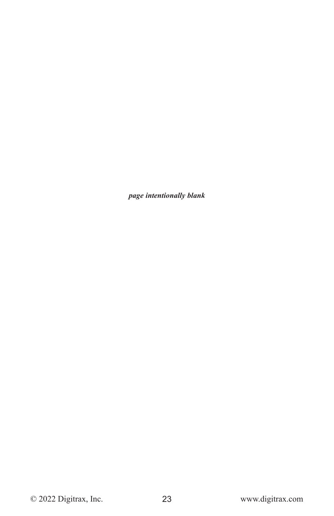*page intentionally blank*